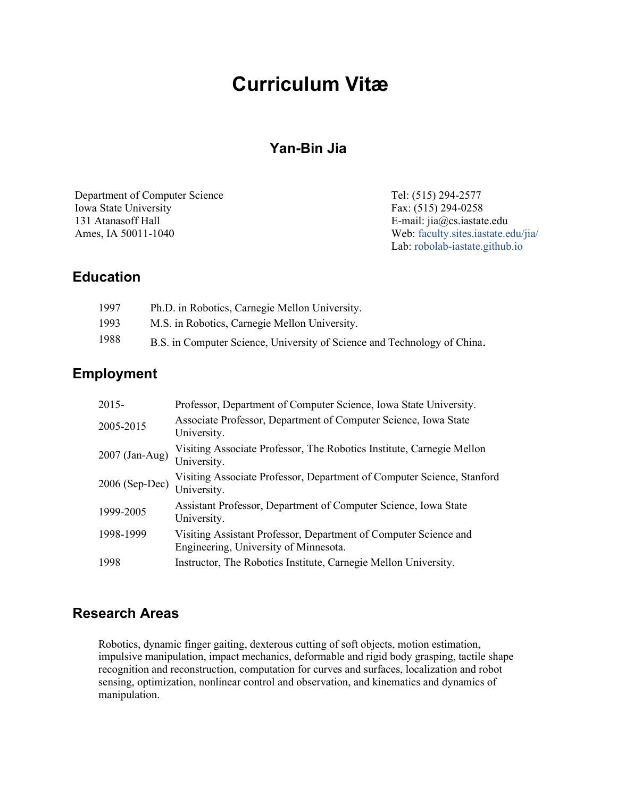# **Curriculum Vitæ**

# **[Yan-Bin Jia](http://www.cs.iastate.edu/%7Ejia/whois-jia.html)**

[Department of Computer Science](http://www.cs.iastate.edu/) [Iowa State University](http://www.iastate.edu/) 131 Atanasoff Hall Ames, IA 50011-1040

Tel: (515) 294-2577 Fax: (515) 294-0258 E-mail: [jia@cs.iastate.edu](mailto:jia@cs.iastate.edu) Web: [faculty.sites.iastate.edu/jia/](https://faculty.sites.iastate.edu/jia/) Lab: [robolab-iastate.github.io](https://robolab-iastate.github.io/)

## **Education**

| 1997 | Ph.D. in Robotics, Carnegie Mellon University.                           |
|------|--------------------------------------------------------------------------|
| 1993 | M.S. in Robotics, Carnegie Mellon University.                            |
| 1988 | B.S. in Computer Science, University of Science and Technology of China. |

## **Employment**

| $2015 -$       | Professor, Department of Computer Science, Iowa State University.                                         |
|----------------|-----------------------------------------------------------------------------------------------------------|
| 2005-2015      | Associate Professor, Department of Computer Science, Iowa State<br>University.                            |
| 2007 (Jan-Aug) | Visiting Associate Professor, The Robotics Institute, Carnegie Mellon<br>University.                      |
| 2006 (Sep-Dec) | Visiting Associate Professor, Department of Computer Science, Stanford<br>University.                     |
| 1999-2005      | Assistant Professor, Department of Computer Science, Iowa State<br>University.                            |
| 1998-1999      | Visiting Assistant Professor, Department of Computer Science and<br>Engineering, University of Minnesota. |
| 1998           | Instructor, The Robotics Institute, Carnegie Mellon University.                                           |

# **Research Areas**

Robotics, dynamic finger gaiting, dexterous cutting of soft objects, motion estimation, impulsive manipulation, impact mechanics, deformable and rigid body grasping, tactile shape recognition and reconstruction, computation for curves and surfaces, localization and robot sensing, optimization, nonlinear control and observation, and kinematics and dynamics of manipulation.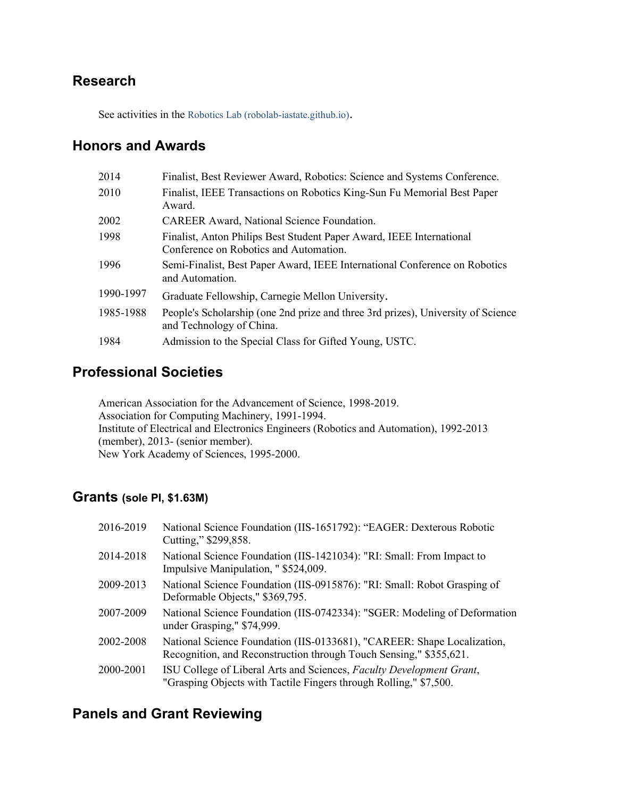# **Research**

See activities in the [Robotics Lab \(robolab-iastate.github.io\).](https://robolab-iastate.github.io/)

# **Honors and Awards**

| 2014      | Finalist, Best Reviewer Award, Robotics: Science and Systems Conference.                                       |
|-----------|----------------------------------------------------------------------------------------------------------------|
| 2010      | Finalist, IEEE Transactions on Robotics King-Sun Fu Memorial Best Paper<br>Award.                              |
| 2002      | <b>CAREER Award, National Science Foundation.</b>                                                              |
| 1998      | Finalist, Anton Philips Best Student Paper Award, IEEE International<br>Conference on Robotics and Automation. |
| 1996      | Semi-Finalist, Best Paper Award, IEEE International Conference on Robotics<br>and Automation.                  |
| 1990-1997 | Graduate Fellowship, Carnegie Mellon University.                                                               |
| 1985-1988 | People's Scholarship (one 2nd prize and three 3rd prizes), University of Science<br>and Technology of China.   |
| 1984      | Admission to the Special Class for Gifted Young, USTC.                                                         |
|           |                                                                                                                |

# **Professional Societies**

[American Association for the Advancement of Science,](http://www.aaas.org/) 1998-2019. [Association for Computing Machinery,](http://www.acm.org/) 1991-1994. [Institute of Electrical and Electronics Engineers](http://www.ieee.org/) [\(Robotics and Automation\)](http://www.acim.usl.edu/RAS/), 1992-2013 (member), 2013- (senior member). [New York Academy of Sciences,](http://www.nyas.org/) 1995-2000.

## **Grants (sole PI, \$1.63M)**

| 2016-2019 | National Science Foundation (IIS-1651792): "EAGER: Dexterous Robotic<br>Cutting," \$299,858.                                                  |
|-----------|-----------------------------------------------------------------------------------------------------------------------------------------------|
| 2014-2018 | National Science Foundation (IIS-1421034): "RI: Small: From Impact to<br>Impulsive Manipulation, "\$524,009.                                  |
| 2009-2013 | National Science Foundation (IIS-0915876): "RI: Small: Robot Grasping of<br>Deformable Objects," \$369,795.                                   |
| 2007-2009 | National Science Foundation (IIS-0742334): "SGER: Modeling of Deformation<br>under Grasping," \$74,999.                                       |
| 2002-2008 | National Science Foundation (IIS-0133681), "CAREER: Shape Localization,<br>Recognition, and Reconstruction through Touch Sensing," \$355,621. |
| 2000-2001 | ISU College of Liberal Arts and Sciences, Faculty Development Grant,<br>"Grasping Objects with Tactile Fingers through Rolling," \$7,500.     |

## **Panels and Grant Reviewing**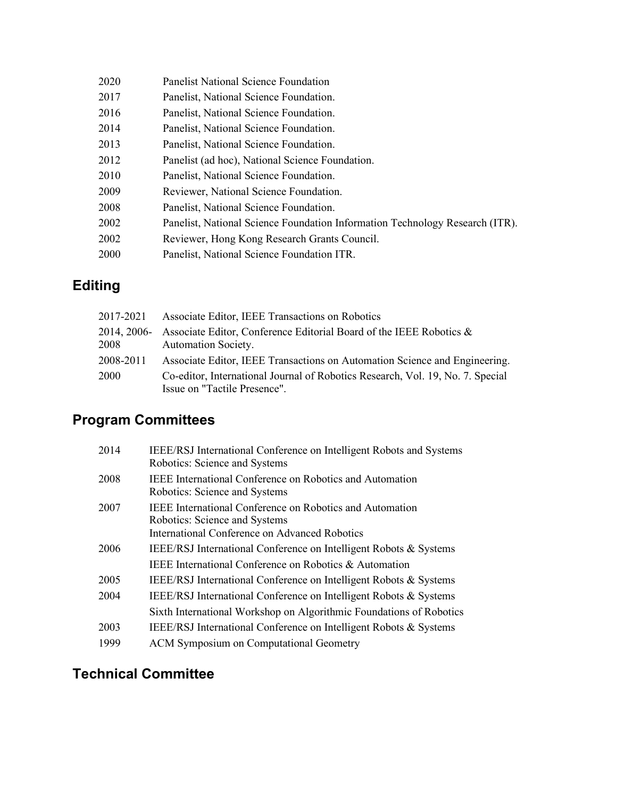| 2020 | <b>Panelist National Science Foundation</b>                                  |
|------|------------------------------------------------------------------------------|
| 2017 | Panelist, National Science Foundation.                                       |
| 2016 | Panelist, National Science Foundation.                                       |
| 2014 | Panelist, National Science Foundation.                                       |
| 2013 | Panelist, National Science Foundation.                                       |
| 2012 | Panelist (ad hoc), National Science Foundation.                              |
| 2010 | Panelist, National Science Foundation.                                       |
| 2009 | Reviewer, National Science Foundation.                                       |
| 2008 | Panelist, National Science Foundation.                                       |
| 2002 | Panelist, National Science Foundation Information Technology Research (ITR). |
| 2002 | Reviewer, Hong Kong Research Grants Council.                                 |
| 2000 | Panelist, National Science Foundation ITR.                                   |
|      |                                                                              |

# **Editing**

| 2017-2021 | Associate Editor, IEEE Transactions on Robotics                                                                |
|-----------|----------------------------------------------------------------------------------------------------------------|
|           | 2014, 2006 - Associate Editor, Conference Editorial Board of the IEEE Robotics $\&$                            |
| 2008      | <b>Automation Society.</b>                                                                                     |
| 2008-2011 | Associate Editor, IEEE Transactions on Automation Science and Engineering.                                     |
| 2000      | Co-editor, International Journal of Robotics Research, Vol. 19, No. 7. Special<br>Issue on "Tactile Presence". |

# **Program Committees**

| 2014 | IEEE/RSJ International Conference on Intelligent Robots and Systems<br>Robotics: Science and Systems                                              |
|------|---------------------------------------------------------------------------------------------------------------------------------------------------|
| 2008 | <b>IEEE</b> International Conference on Robotics and Automation<br>Robotics: Science and Systems                                                  |
| 2007 | <b>IEEE</b> International Conference on Robotics and Automation<br>Robotics: Science and Systems<br>International Conference on Advanced Robotics |
| 2006 | IEEE/RSJ International Conference on Intelligent Robots & Systems                                                                                 |
|      | IEEE International Conference on Robotics & Automation                                                                                            |
| 2005 | IEEE/RSJ International Conference on Intelligent Robots & Systems                                                                                 |
| 2004 | IEEE/RSJ International Conference on Intelligent Robots & Systems                                                                                 |
|      | Sixth International Workshop on Algorithmic Foundations of Robotics                                                                               |
| 2003 | IEEE/RSJ International Conference on Intelligent Robots & Systems                                                                                 |
| 1999 | ACM Symposium on Computational Geometry                                                                                                           |

# **Technical Committee**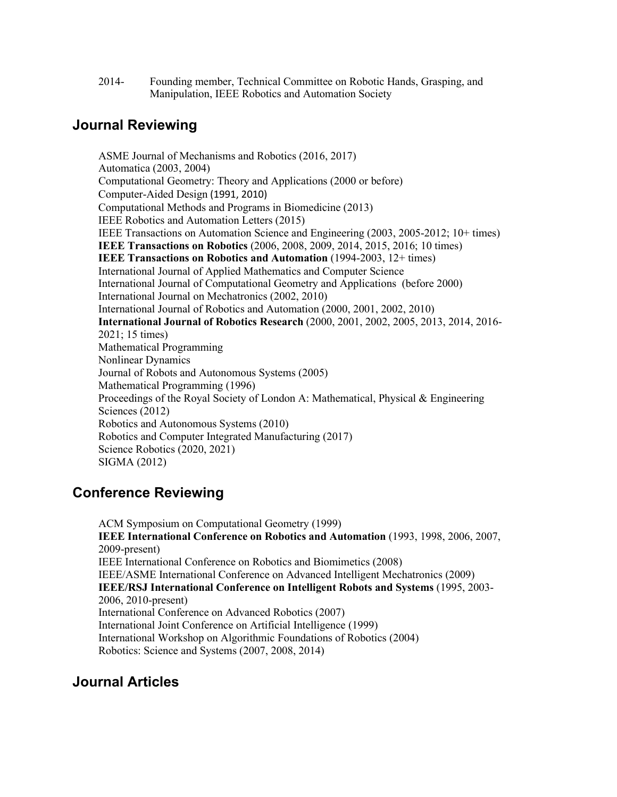2014- Founding member, Technical Committee on Robotic Hands, Grasping, and Manipulation, IEEE Robotics and Automation Society

#### **Journal Reviewing**

ASME Journal of Mechanisms and Robotics (2016, 2017) Automatica [\(2003, 2004\)](http://www.elsevier.com/wps/find/journaldescription.cws_home/270/description#description) [Computational Geometry: Theory and Applications](http://www.elsevier.nl/locate/comgeo) (2000 or before) [Computer-Aided Design](http://www.journals.elsevier.com/computer-aided-design/) (1991, 2010) Computational Methods and Programs in Biomedicine (2013) IEEE Robotics and Automation Letters (2015) [IEEE Transactions on Automation Science and Engineering](http://www.ieor.berkeley.edu/%7Egoldberg/t-ase/) (2003, 2005-2012; 10+ times) **[IEEE Transactions on](http://www.ieee-ras.org/tro) Robotics** (2006, 2008, 2009, 2014, 2015, 2016; 10 times) **[IEEE Transactions on Robotics and Automation](http://www.ncsu.edu/IEEE-RAS/TRA/TRA.html)** (1994-2003, 12+ times) International Journal of Applied Mathematics and Computer Science [International Journal of Computational Geometry and Applications](http://www.worldscinet.com/ijcga/ijcga.shtml) (before 2000) International Journal on Mechatronics (2002, 2010) International Journal of Robotics and Automation (2000, 2001, 2002, 2010) **[International Journal of Robotics Research](http://www.ijrr.org/)** (2000, 2001, 2002, 2005, 2013, 2014, 2016- 2021; 15 times) Mathematical Programming Nonlinear Dynamics Journal of Robots and Autonomous Systems (2005) [Mathematical Programming](http://www.mathprog.org/sub/journal.htm) (1996) [Proceedings of the Royal Society of London](http://rspa.royalsocietypublishing.org/) A: Mathematical, Physical & Engineering [Sciences](http://rspa.royalsocietypublishing.org/) (2012) Robotics and Autonomous Systems (2010) Robotics and Computer Integrated Manufacturing (2017) Science Robotics (2020, 2021) SIGMA (2012)

#### **Conference Reviewing**

ACM Symposium on Computational Geometry (1999) **IEEE International Conference on Robotics and Automation** (1993, 1998, 2006, 2007, 2009-present) IEEE International Conference on Robotics and Biomimetics (2008) IEEE/ASME International Conference on Advanced Intelligent Mechatronics (2009) **IEEE/RSJ International Conference on Intelligent Robots and Systems** (1995, 2003- 2006, 2010-present) International Conference on Advanced Robotics (2007) International Joint Conference on Artificial Intelligence (1999) International Workshop on Algorithmic Foundations of Robotics (2004) Robotics: Science and Systems (2007, 2008, 2014)

### **Journal Articles**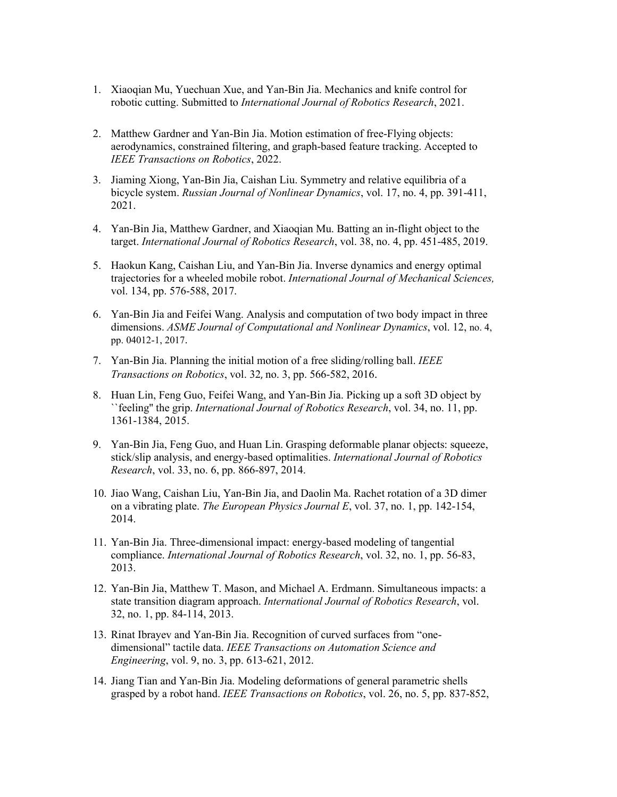- 1. Xiaoqian Mu, Yuechuan Xue, and Yan-Bin Jia. Mechanics and knife control for robotic cutting. Submitted to *International Journal of Robotics Research*, 2021.
- 2. Matthew Gardner and Yan-Bin Jia. Motion estimation of free-Flying objects: aerodynamics, constrained filtering, and graph-based feature tracking. Accepted to *IEEE Transactions on Robotics*, 2022.
- 3. Jiaming Xiong, Yan-Bin Jia, Caishan Liu. Symmetry and relative equilibria of a bicycle system. *Russian Journal of Nonlinear Dynamics*, vol. 17, no. 4, pp. 391-411, 2021.
- 4. Yan-Bin Jia, Matthew Gardner, and Xiaoqian Mu. [Batting an in-flight object to the](http://web.cs.iastate.edu/%7Ejia/papers/IJRR18.pdf)  [target.](http://web.cs.iastate.edu/%7Ejia/papers/IJRR18.pdf) *International Journal of Robotics Research*, vol. 38, no. 4, pp. 451-485, 2019.
- 5. Haokun Kang, Caishan Liu, and Yan-Bin Jia. [Inverse dynamics and energy optimal](http://web.cs.iastate.edu/%7Ejia/papers/IJRR16b-submit.pdf)  [trajectories for a wheeled mobile robot.](http://web.cs.iastate.edu/%7Ejia/papers/IJRR16b-submit.pdf) *International Journal of Mechanical Sciences,* vol. 134, pp. 576-588, 2017.
- 6. Yan-Bin Jia and Feifei Wang. [Analysis and computation of two body impact in three](http://web.cs.iastate.edu/%7Ejia/papers/CND17.pdf)  [dimensions.](http://web.cs.iastate.edu/%7Ejia/papers/CND17.pdf) *ASME Journal of Computational and Nonlinear Dynamics*, vol. 12, no. 4, pp. 04012-1, 2017.
- 7. Yan-Bin Jia. [Planning the initial motion of a free sliding/rolling ball.](http://web.cs.iastate.edu/%7Ejia/papers/TRO16-revise.pdf) *[IEEE](http://www.ieee-ras.org/publications/t-ro)  [Transactions on Robotics](http://www.ieee-ras.org/publications/t-ro)*, vol. 32, no. 3, pp. 566-582, 2016.
- 8. Huan Lin, Feng Guo, Feifei Wang, and Yan-Bin Jia. [Picking up a soft 3D object by](http://web.cs.iastate.edu/%7Ejia/papers/IJRR15.pdf)  [``feeling'' the grip.](http://web.cs.iastate.edu/%7Ejia/papers/IJRR15.pdf) *[International Journal of Robotics Research](https://us.sagepub.com/en-us/nam/journal/international-journal-robotics-research)*, vol. 34, no. 11, pp. 1361-1384, 2015.
- 9. Yan-Bin Jia, Feng Guo, and Huan Lin[. Grasping deformable planar objects: squeeze,](http://www.cs.iastate.edu/%7Ejia/papers/IJRR14.pdf)  [stick/slip analysis, and energy-based optimalities.](http://www.cs.iastate.edu/%7Ejia/papers/IJRR14.pdf) *International Journal of Robotics Research*, vol. 33, no. 6, pp. 866-897, 2014.
- 10. Jiao Wang, Caishan Liu, Yan-Bin Jia, and Daolin Ma. [Rachet rotation of a 3D dimer](http://www.cs.iastate.edu/%7Ejia/papers/EPJE13-revise.pdf)  [on a vibrating plate.](http://www.cs.iastate.edu/%7Ejia/papers/EPJE13-revise.pdf) *The European Physics Journal E*, vol. 37, no. 1, pp. 142-154, 2014.
- 11. Yan-Bin Jia. Three-dimensional impact: energy-based modeling of tangential compliance. *International Journal of Robotics Research*, vol. 32, no. 1, pp. 56-83, 2013.
- 12. Yan-Bin Jia, Matthew T. Mason, and Michael A. Erdmann. Simultaneous impacts: a state transition diagram approach. *International Journal of Robotics Research*, vol. 32, no. 1, pp. 84-114, 2013.
- 13. Rinat Ibrayev and Yan-Bin Jia. [Recognition of curved surfaces from "one](http://www.cs.iastate.edu/%7Ejia/papers/TASE12.pdf)[dimensional" tactile data.](http://www.cs.iastate.edu/%7Ejia/papers/TASE12.pdf) *IEEE Transactions on Automation Science and Engineering*, vol. 9, no. 3, pp. 613-621, 2012.
- 14. Jiang Tian and Yan-Bin Jia. [Modeling deformations of general parametric shells](http://www.cs.iastate.edu/%7Ejia/papers/TRO10.pdf)  [grasped by a robot hand.](http://www.cs.iastate.edu/%7Ejia/papers/TRO10.pdf) *IEEE Transactions on Robotics*, vol. 26, no. 5, pp. 837-852,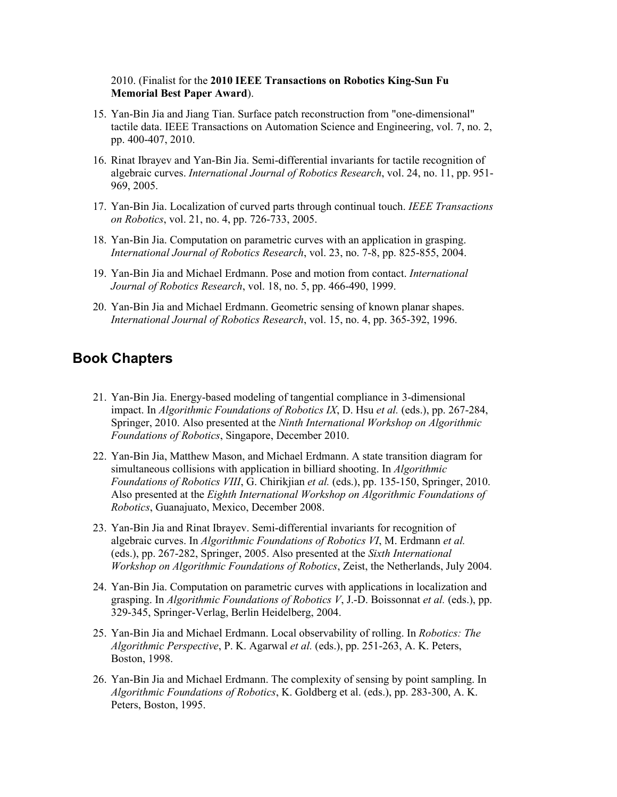#### 2010. (Finalist for the **2010 IEEE Transactions on Robotics King-Sun Fu Memorial Best Paper Award**).

- 15. Yan-Bin Jia and Jiang Tian. [Surface patch reconstruction from "one-dimensional"](http://www.cs.iastate.edu/%7Ejia/papers/TASE10.pdf)  [tactile data.](http://www.cs.iastate.edu/%7Ejia/papers/TASE10.pdf) IEEE Transactions on Automation Science and Engineering, vol. 7, no. 2, pp. 400-407, 2010.
- 16. Rinat Ibrayev and Yan-Bin Jia. [Semi-differential invariants for tactile recognition of](http://www.cs.iastate.edu/%7Ejia/papers/IJRR05.pdf)  [algebraic curves.](http://www.cs.iastate.edu/%7Ejia/papers/IJRR05.pdf) *International Journal of Robotics Research*, vol. 24, no. 11, pp. 951- 969, 2005.
- 17. Yan-Bin Jia. [Localization of curved parts through continual touch.](http://www.cs.iastate.edu/%7Ejia/papers/TRO05.pdf) *IEEE Transactions on Robotics*, vol. 21, no. 4, pp. 726-733, 2005.
- 18. Yan-Bin Jia. [Computation on parametric curves with an application in grasping.](http://www.cs.iastate.edu/%7Ejia/papers/IJRR04.pdf) *International Journal of Robotics Research*, vol. 23, no. 7-8, pp. 825-855, 2004.
- 19. Yan-Bin Jia and Michael Erdmann. [Pose and motion from contact.](http://www.cs.iastate.edu/%7Ejia/papers/IJRR99.pdf) *International Journal of Robotics Research*, vol. 18, no. 5, pp. 466-490, 1999.
- 20. Yan-Bin Jia and Michael Erdmann. [Geometric sensing of known planar shapes.](http://www.cs.iastate.edu/%7Ejia/papers/IJRR96.pdf) *International Journal of Robotics Research*, vol. 15, no. 4, pp. 365-392, 1996.

#### **Book Chapters**

- 21. Yan-Bin Jia. [Energy-based modeling of tangential compliance in 3-dimensional](http://www.cs.iastate.edu/%7Ejia/papers/WAFR10.pdf)  [impact.](http://www.cs.iastate.edu/%7Ejia/papers/WAFR10.pdf) In *Algorithmic Foundations of Robotics IX*, D. Hsu *et al.* (eds.), pp. 267-284, Springer, 2010. Also presented at the *Ninth International Workshop on Algorithmic Foundations of Robotics*, Singapore, December 2010.
- 22. Yan-Bin Jia, Matthew Mason, and Michael Erdmann. [A state transition diagram for](http://www.cs.iastate.edu/%7Ejia/papers/WAFR08.pdf)  [simultaneous collisions with application in billiard shooting.](http://www.cs.iastate.edu/%7Ejia/papers/WAFR08.pdf) In *Algorithmic Foundations of Robotics VIII*, G. Chirikjian *et al.* (eds.), pp. 135-150, Springer, 2010. Also presented at the *Eighth International Workshop on Algorithmic Foundations of Robotics*, Guanajuato, Mexico, December 2008.
- 23. Yan-Bin Jia and Rinat Ibrayev. [Semi-differential invariants for recognition of](http://www.cs.iastate.edu/%7Ejia/papers/WAFR04.pdf)  [algebraic curves.](http://www.cs.iastate.edu/%7Ejia/papers/WAFR04.pdf) In *Algorithmic Foundations of Robotics VI*, M. Erdmann *et al.* (eds.), pp. 267-282, Springer, 2005. Also presented at the *Sixth International Workshop on Algorithmic Foundations of Robotics*, Zeist, the Netherlands, July 2004.
- 24. Yan-Bin Jia. [Computation on parametric curves with applications in localization and](http://www.cs.iastate.edu/%7Ejia/papers/WAFR02.pdf)  [grasping.](http://www.cs.iastate.edu/%7Ejia/papers/WAFR02.pdf) In *Algorithmic Foundations of Robotics V*, J.-D. Boissonnat *et al.* (eds.), pp. 329-345, Springer-Verlag, Berlin Heidelberg, 2004.
- 25. Yan-Bin Jia and Michael Erdmann. [Local observability of rolling.](http://www.cs.iastate.edu/%7Ejia/papers/WAFR98.pdf) In *Robotics: The Algorithmic Perspective*, P. K. Agarwal *et al.* (eds.), pp. 251-263, A. K. Peters, Boston, 1998.
- 26. Yan-Bin Jia and Michael Erdmann. [The complexity of sensing by point sampling.](http://www.cs.iastate.edu/%7Ejia/papers/WAFR94.pdf) In *Algorithmic Foundations of Robotics*, K. Goldberg et al. (eds.), pp. 283-300, A. K. Peters, Boston, 1995.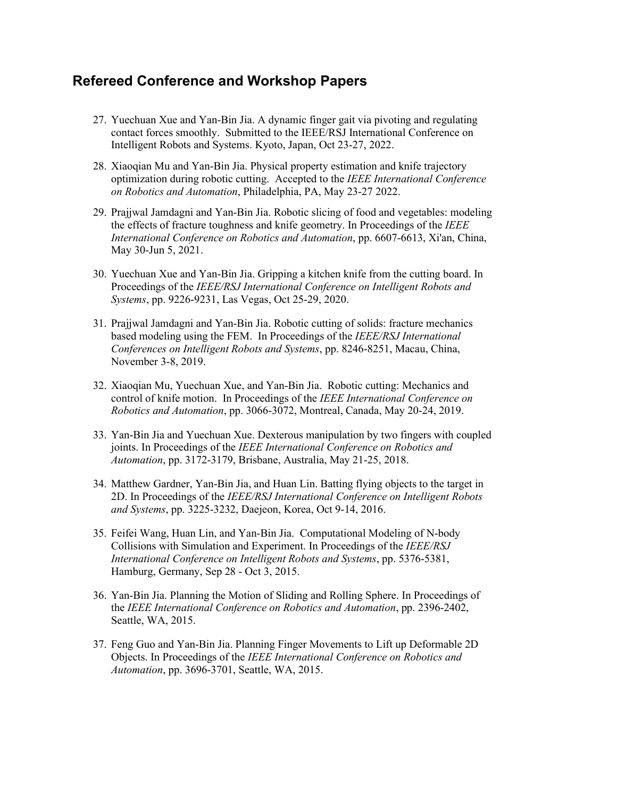### **Refereed Conference and Workshop Papers**

- 27. Yuechuan Xue and Yan-Bin Jia. A dynamic finger gait via pivoting and regulating contact forces smoothly. Submitted to the IEEE/RSJ International Conference on Intelligent Robots and Systems. Kyoto, Japan, Oct 23-27, 2022.
- 28. Xiaoqian Mu and Yan-Bin Jia. Physical property estimation and knife trajectory optimization during robotic cutting. Accepted to the *IEEE International Conference on Robotics and Automation*, Philadelphia, PA, May 23-27 2022.
- 29. Prajjwal Jamdagni and Yan-Bin Jia. Robotic slicing of food and vegetables: modeling the effects of fracture toughness and knife geometry. In Proceedings of the *IEEE International Conference on Robotics and Automation*, pp. 6607-6613, Xi'an, China, May 30-Jun 5, 2021.
- 30. Yuechuan Xue and Yan-Bin Jia. Gripping a kitchen knife from the cutting board. In Proceedings of the *IEEE/RSJ International Conference on Intelligent Robots and Systems*, pp. 9226-9231, Las Vegas, Oct 25-29, 2020.
- 31. Prajjwal Jamdagni and Yan-Bin Jia. Robotic cutting of solids: fracture mechanics based modeling using the FEM. In Proceedings of the *IEEE/RSJ International Conferences on Intelligent Robots and Systems*, pp. 8246-8251, Macau, China, November 3-8, 2019.
- 32. Xiaoqian Mu, Yuechuan Xue, and Yan-Bin Jia. Robotic cutting: Mechanics and control of knife motion. In Proceedings of the *IEEE International Conference on Robotics and Automation*, pp. 3066-3072, Montreal, Canada, May 20-24, 2019.
- 33. Yan-Bin Jia and Yuechuan Xue. Dexterous manipulation by two fingers with coupled joints. In Proceedings of the *[IEEE International Conference on Robotics and](http://www.icra2018.org/)  [Automation](http://www.icra2018.org/)*, pp. 3172-3179, Brisbane, Australia, May 21-25, 2018.
- 34. Matthew Gardner, Yan-Bin Jia, and Huan Lin. [Batting flying objects to the target in](http://web.cs.iastate.edu/%7Ejia/papers/IROS16.pdf)  [2D.](http://web.cs.iastate.edu/%7Ejia/papers/IROS16.pdf) In Proceedings of the *[IEEE/RSJ International Conference on Intelligent Robots](http://www.iros2016.org/)  [and Systems](http://www.iros2016.org/)*, pp. 3225-3232, Daejeon, Korea, Oct 9-14, 2016.
- 35. Feifei Wang, Huan Lin, and Yan-Bin Jia. Computational Modeling of N-body Collisions with Simulation and Experiment. In Proceedings of the *IEEE/RSJ International Conference on Intelligent Robots and Systems*, pp. 5376-5381, Hamburg, Germany, Sep 28 - Oct 3, 2015.
- 36. Yan-Bin Jia. Planning the Motion [of Sliding and Rolling Sphere.](http://www.cs.iastate.edu/%7Ejia/papers/ICRA15-submit.pdf) In Proceedings of the *[IEEE International Conference on Robotics and Automation](http://www.icra2015.org/)*, pp. 2396-2402, Seattle, WA, 2015.
- 37. Feng Guo and Yan-Bin Jia[. Planning Finger Movements to Lift up Deformable 2D](http://www.cs.iastate.edu/%7Ejia/papers/ICRA15-submit-Feng.pdf)  [Objects.](http://www.cs.iastate.edu/%7Ejia/papers/ICRA15-submit-Feng.pdf) In Proceedings of the *[IEEE International Conference on Robotics and](http://www.icra2015.org/)  [Automation](http://www.icra2015.org/)*, pp. 3696-3701, Seattle, WA, 2015.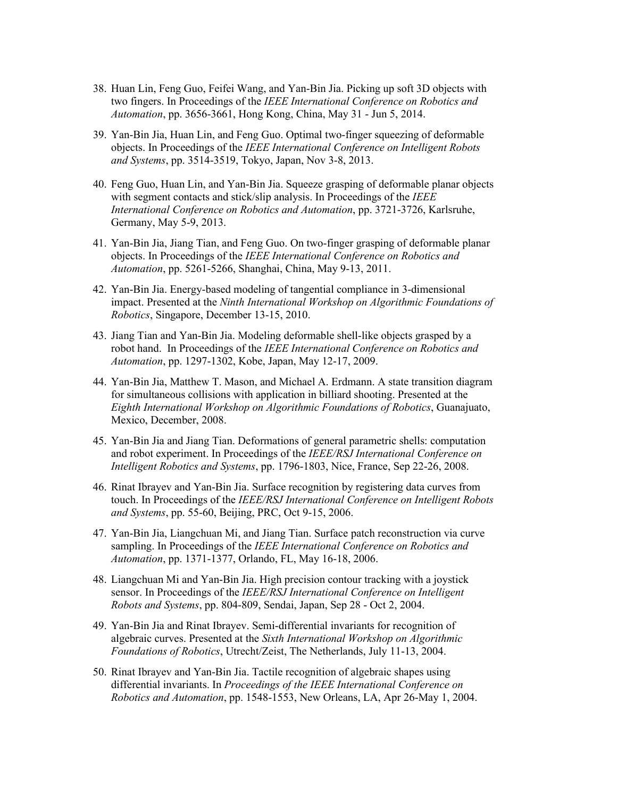- 38. Huan Lin, Feng Guo, Feifei Wang, and Yan-Bin Jia. [Picking up soft 3D objects with](http://www.cs.iastate.edu/%7Ejia/papers/ICRA14.pdf)  [two fingers.](http://www.cs.iastate.edu/%7Ejia/papers/ICRA14.pdf) In Proceedings of the *[IEEE International Conference on Robotics and](http://www6.cityu.edu.hk/icra2014/index.htm)  [Automation](http://www6.cityu.edu.hk/icra2014/index.htm)*, pp. 3656-3661, Hong Kong, China, May 31 - Jun 5, 2014.
- 39. Yan-Bin Jia, Huan Lin, and Feng Guo. Optimal two-finger squeezing of deformable objects. In Proceedings of the *IEEE International Conference on Intelligent Robots and Systems*, pp. 3514-3519, Tokyo, Japan, Nov 3-8, 2013.
- 40. Feng Guo, Huan Lin, and Yan-Bin Jia. Squeeze grasping of deformable planar objects with segment contacts and stick/slip analysis. In Proceedings of the *[IEEE](http://www.icra2013.org/)  [International Conference on Robotics and Automation](http://www.icra2013.org/)*, pp. 3721-3726, Karlsruhe, Germany, May 5-9, 2013.
- 41. Yan-Bin Jia, Jiang Tian, and Feng Guo. [On two-finger grasping of deformable planar](http://www.cs.iastate.edu/%7Ejia/papers/ICRA11.pdf)  [objects.](http://www.cs.iastate.edu/%7Ejia/papers/ICRA11.pdf) In Proceedings of the *[IEEE International Conference on Robotics and](http://www.icra2011.org/)  [Automation](http://www.icra2011.org/)*, pp. 5261-5266, Shanghai, China, May 9-13, 2011.
- 42. Yan-Bin Jia. [Energy-based modeling of tangential compliance in 3-dimensional](http://www.cs.iastate.edu/%7Ejia/papers/WAFR10.pdf)  [impact.](http://www.cs.iastate.edu/%7Ejia/papers/WAFR10.pdf) Presented at the *[Ninth International Workshop on Algorithmic Foundations of](http://bigbird.comp.nus.edu.sg/pmwiki/farm/wafr/)  [Robotics](http://bigbird.comp.nus.edu.sg/pmwiki/farm/wafr/)*, Singapore, December 13-15, 2010.
- 43. Jiang Tian and Yan-Bin Jia. [Modeling deformable shell-like objects grasped by a](http://www.cs.iastate.edu/%7Ejia/papers/ICRA09.pdf)  [robot hand.](http://www.cs.iastate.edu/%7Ejia/papers/ICRA09.pdf) In Proceedings of the *[IEEE International Conference on Robotics and](http://www.cs.iastate.edu/%7Ejia/cv/%20%20%20%20%20%20%20%20http:/www.icra2009.org/)  [Automation](http://www.cs.iastate.edu/%7Ejia/cv/%20%20%20%20%20%20%20%20http:/www.icra2009.org/)*, pp. 1297-1302, Kobe, Japan, May 12-17, 2009.
- 44. Yan-Bin Jia, Matthew T. Mason, and Michael A. Erdmann. [A state transition diagram](http://www.cs.iastate.edu/%7Ejia/papers/WAFR08.pdf)  [for simultaneous collisions with application in billiard shooting.](http://www.cs.iastate.edu/%7Ejia/papers/WAFR08.pdf) Presented at the *[Eighth International Workshop on Algorithmic Foundations of Robotics](http://www.wafr.org/)*, Guanajuato, Mexico, December, 2008.
- 45. Yan-Bin Jia and Jiang Tian. [Deformations of general parametric shells: computation](http://www.cs.iastate.edu/%7Ejia/papers/IROS08.pdf)  [and robot experiment.](http://www.cs.iastate.edu/%7Ejia/papers/IROS08.pdf) In Proceedings of the *[IEEE/RSJ International Conference on](http://iros2008.inria.fr/)  [Intelligent Robotics and Systems](http://iros2008.inria.fr/)*, pp. 1796-1803, Nice, France, Sep 22-26, 2008.
- 46. Rinat Ibrayev and Yan-Bin Jia. [Surface recognition by registering data curves from](http://www.cs.iastate.edu/%7Ejia/papers/IROS06.pdf)  [touch.](http://www.cs.iastate.edu/%7Ejia/papers/IROS06.pdf) In Proceedings of the *IEEE/RSJ International Conference on Intelligent Robots and Systems*, pp. 55-60, Beijing, PRC, Oct 9-15, 2006.
- 47. Yan-Bin Jia, Liangchuan Mi, and Jiang Tian. [Surface patch reconstruction via curve](http://www.cs.iastate.edu/%7Ejia/cv/papers/ICRA06.pdf)  [sampling.](http://www.cs.iastate.edu/%7Ejia/cv/papers/ICRA06.pdf) In Proceedings of the *IEEE International Conference on Robotics and Automation*, pp. 1371-1377, Orlando, FL, May 16-18, 2006.
- 48. Liangchuan Mi and Yan-Bin Jia. [High precision contour tracking with a joystick](http://www.cs.iastate.edu/%7Ejia/papers/IROS04.pdf)  [sensor.](http://www.cs.iastate.edu/%7Ejia/papers/IROS04.pdf) In Proceedings of the *[IEEE/RSJ International Conference on Intelligent](http://www.iros2004.org/)  [Robots and Systems](http://www.iros2004.org/)*, pp. 804-809, Sendai, Japan, Sep 28 - Oct 2, 2004.
- 49. Yan-Bin Jia and Rinat Ibrayev. [Semi-differential invariants for recognition of](http://www.cs.iastate.edu/%7Ejia/papers/WAFR04.pdf)  [algebraic curves.](http://www.cs.iastate.edu/%7Ejia/papers/WAFR04.pdf) Presented at the *[Sixth International Workshop on Algorithmic](http://www.wafr.org/)  [Foundations of Robotics](http://www.wafr.org/)*, Utrecht/Zeist, The Netherlands, July 11-13, 2004.
- 50. Rinat Ibrayev and Yan-Bin Jia. [Tactile recognition of algebraic shapes using](http://www.cs.iastate.edu/%7Ejia/papers/ICRA04.pdf)  [differential invariants.](http://www.cs.iastate.edu/%7Ejia/papers/ICRA04.pdf) In *Proceedings of the [IEEE International Conference on](http://www.icra2004.org/)  [Robotics and Automation](http://www.icra2004.org/)*, pp. 1548-1553, New Orleans, LA, Apr 26-May 1, 2004.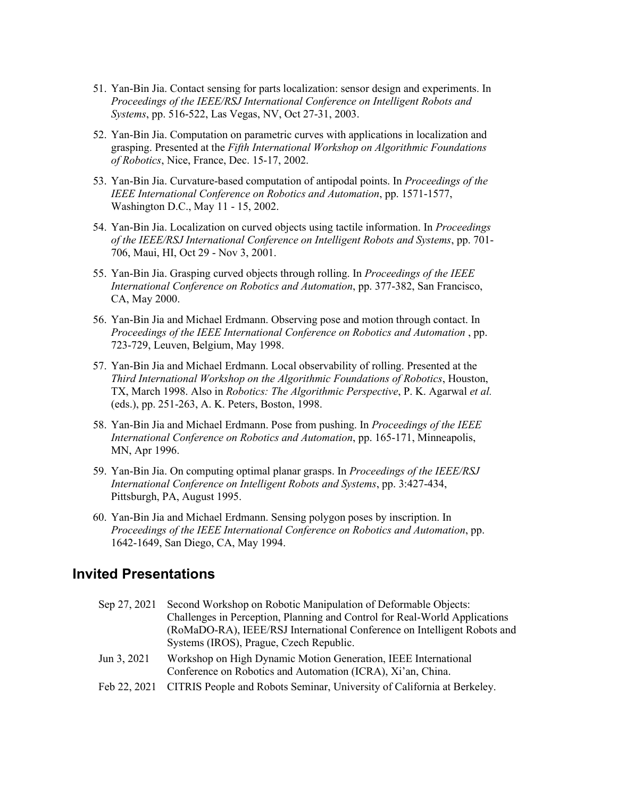- 51. Yan-Bin Jia. [Contact sensing for parts localization: sensor design and experiments.](http://www.cs.iastate.edu/%7Ejia/papers/IROS03.pdf) In *Proceedings of the [IEEE/RSJ International Conference on Intelligent Robots and](http://www.icra-iros.com/iros2003/)  [Systems](http://www.icra-iros.com/iros2003/)*, pp. 516-522, Las Vegas, NV, Oct 27-31, 2003.
- 52. Yan-Bin Jia. [Computation on parametric curves with applications in localization and](http://www.cs.iastate.edu/%7Ejia/papers/WAFR02-submit.pdf)  [grasping.](http://www.cs.iastate.edu/%7Ejia/papers/WAFR02-submit.pdf) Presented at the *[Fifth International Workshop on Algorithmic Foundations](http://www.wafr.org/)  [of Robotics](http://www.wafr.org/)*, Nice, France, Dec. 15-17, 2002.
- 53. Yan-Bin Jia. [Curvature-based computation of antipodal points.](http://www.cs.iastate.edu/%7Ejia/papers/ICRA02.pdf) In *Proceedings of the IEEE International Conference on Robotics and Automation*, pp. 1571-1577, Washington D.C., May 11 - 15, 2002.
- 54. Yan-Bin Jia. [Localization on curved objects using tactile information.](http://www.cs.iastate.edu/%7Ejia/papers/IROS01.pdf) In *Proceedings of the IEEE/RSJ International Conference on Intelligent Robots and Systems*, pp. 701- 706, Maui, HI, Oct 29 - Nov 3, 2001.
- 55. Yan-Bin Jia. [Grasping curved objects through rolling.](http://www.cs.iastate.edu/%7Ejia/papers/ICRA00.pdf) In *Proceedings of the IEEE International Conference on Robotics and Automation*, pp. 377-382, San Francisco, CA, May 2000.
- 56. Yan-Bin Jia and Michael Erdmann. [Observing pose and motion through contact.](http://www.cs.iastate.edu/%7Ejia/papers/ICRA98.pdf) In *Proceedings of the IEEE International Conference on Robotics and Automation* , pp. 723-729, Leuven, Belgium, May 1998.
- 57. Yan-Bin Jia and Michael Erdmann. [Local observability of rolling.](http://www.cs.iastate.edu/%7Ejia/cv/papers/WAFR98.pdf) Presented at the *Third International Workshop on the Algorithmic Foundations of Robotics*, Houston, TX, March 1998. Also in *Robotics: The Algorithmic Perspective*, P. K. Agarwal *et al.* (eds.), pp. 251-263, A. K. Peters, Boston, 1998.
- 58. Yan-Bin Jia and Michael Erdmann. [Pose from pushing.](http://www.cs.iastate.edu/%7Ejia/papers/ICRA96.pdf) In *Proceedings of the IEEE International Conference on Robotics and Automation*, pp. 165-171, Minneapolis, MN, Apr 1996.
- 59. Yan-Bin Jia. [On computing optimal planar grasps.](http://www.cs.iastate.edu/%7Ejia/papers/IROS95.pdf) In *Proceedings of the IEEE/RSJ International Conference on Intelligent Robots and Systems*, pp. 3:427-434, Pittsburgh, PA, August 1995.
- 60. Yan-Bin Jia and Michael Erdmann. [Sensing polygon poses by inscription.](http://www.cs.iastate.edu/%7Ejia/papers/ICRA94.pdf) In *Proceedings of the IEEE International Conference on Robotics and Automation*, pp. 1642-1649, San Diego, CA, May 1994.

#### **Invited Presentations**

| Sep 27, 2021 | Second Workshop on Robotic Manipulation of Deformable Objects:                                                                |
|--------------|-------------------------------------------------------------------------------------------------------------------------------|
|              | Challenges in Perception, Planning and Control for Real-World Applications                                                    |
|              | (RoMaDO-RA), IEEE/RSJ International Conference on Intelligent Robots and                                                      |
|              | Systems (IROS), Prague, Czech Republic.                                                                                       |
| Jun 3, 2021  | Workshop on High Dynamic Motion Generation, IEEE International<br>Conference on Robotics and Automation (ICRA), Xi'an, China. |
|              | Feb 22, 2021 CITRIS People and Robots Seminar, University of California at Berkeley.                                          |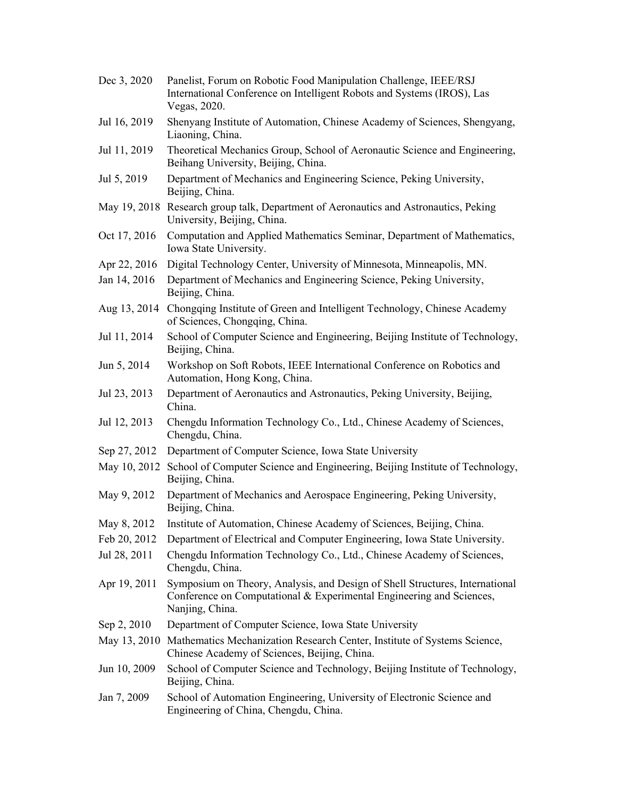| Dec 3, 2020  | Panelist, Forum on Robotic Food Manipulation Challenge, IEEE/RSJ<br>International Conference on Intelligent Robots and Systems (IROS), Las<br>Vegas, 2020.              |
|--------------|-------------------------------------------------------------------------------------------------------------------------------------------------------------------------|
| Jul 16, 2019 | Shenyang Institute of Automation, Chinese Academy of Sciences, Shengyang,<br>Liaoning, China.                                                                           |
| Jul 11, 2019 | Theoretical Mechanics Group, School of Aeronautic Science and Engineering,<br>Beihang University, Beijing, China.                                                       |
| Jul 5, 2019  | Department of Mechanics and Engineering Science, Peking University,<br>Beijing, China.                                                                                  |
|              | May 19, 2018 Research group talk, Department of Aeronautics and Astronautics, Peking<br>University, Beijing, China.                                                     |
| Oct 17, 2016 | Computation and Applied Mathematics Seminar, Department of Mathematics,<br>Iowa State University.                                                                       |
| Apr 22, 2016 | Digital Technology Center, University of Minnesota, Minneapolis, MN.                                                                                                    |
| Jan 14, 2016 | Department of Mechanics and Engineering Science, Peking University,<br>Beijing, China.                                                                                  |
|              | Aug 13, 2014 Chongqing Institute of Green and Intelligent Technology, Chinese Academy<br>of Sciences, Chongqing, China.                                                 |
| Jul 11, 2014 | School of Computer Science and Engineering, Beijing Institute of Technology,<br>Beijing, China.                                                                         |
| Jun 5, 2014  | Workshop on Soft Robots, IEEE International Conference on Robotics and<br>Automation, Hong Kong, China.                                                                 |
| Jul 23, 2013 | Department of Aeronautics and Astronautics, Peking University, Beijing,<br>China.                                                                                       |
| Jul 12, 2013 | Chengdu Information Technology Co., Ltd., Chinese Academy of Sciences,<br>Chengdu, China.                                                                               |
| Sep 27, 2012 | Department of Computer Science, Iowa State University                                                                                                                   |
|              | May 10, 2012 School of Computer Science and Engineering, Beijing Institute of Technology,<br>Beijing, China.                                                            |
| May 9, 2012  | Department of Mechanics and Aerospace Engineering, Peking University,<br>Beijing, China.                                                                                |
| May 8, 2012  | Institute of Automation, Chinese Academy of Sciences, Beijing, China.                                                                                                   |
| Feb 20, 2012 | Department of Electrical and Computer Engineering, Iowa State University.                                                                                               |
| Jul 28, 2011 | Chengdu Information Technology Co., Ltd., Chinese Academy of Sciences,<br>Chengdu, China.                                                                               |
| Apr 19, 2011 | Symposium on Theory, Analysis, and Design of Shell Structures, International<br>Conference on Computational & Experimental Engineering and Sciences,<br>Nanjing, China. |
| Sep 2, 2010  | Department of Computer Science, Iowa State University                                                                                                                   |
|              | May 13, 2010 Mathematics Mechanization Research Center, Institute of Systems Science,<br>Chinese Academy of Sciences, Beijing, China.                                   |
| Jun 10, 2009 | School of Computer Science and Technology, Beijing Institute of Technology,<br>Beijing, China.                                                                          |
| Jan 7, 2009  | School of Automation Engineering, University of Electronic Science and<br>Engineering of China, Chengdu, China.                                                         |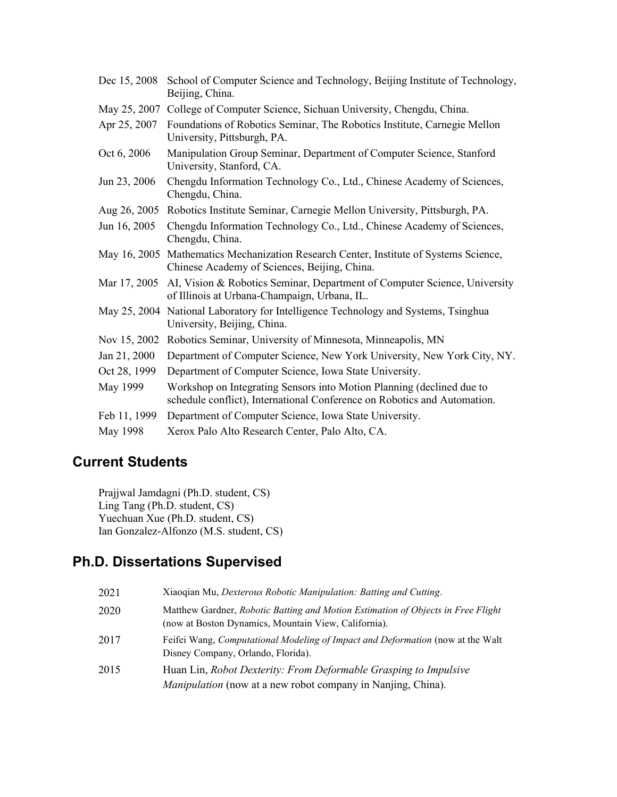| Dec 15, 2008 | School of Computer Science and Technology, Beijing Institute of Technology,<br>Beijing, China.                                                    |
|--------------|---------------------------------------------------------------------------------------------------------------------------------------------------|
| May 25, 2007 | College of Computer Science, Sichuan University, Chengdu, China.                                                                                  |
| Apr 25, 2007 | Foundations of Robotics Seminar, The Robotics Institute, Carnegie Mellon<br>University, Pittsburgh, PA.                                           |
| Oct 6, 2006  | Manipulation Group Seminar, Department of Computer Science, Stanford<br>University, Stanford, CA.                                                 |
| Jun 23, 2006 | Chengdu Information Technology Co., Ltd., Chinese Academy of Sciences,<br>Chengdu, China.                                                         |
|              | Aug 26, 2005 Robotics Institute Seminar, Carnegie Mellon University, Pittsburgh, PA.                                                              |
| Jun 16, 2005 | Chengdu Information Technology Co., Ltd., Chinese Academy of Sciences,<br>Chengdu, China.                                                         |
|              | May 16, 2005 Mathematics Mechanization Research Center, Institute of Systems Science,<br>Chinese Academy of Sciences, Beijing, China.             |
| Mar 17, 2005 | AI, Vision & Robotics Seminar, Department of Computer Science, University<br>of Illinois at Urbana-Champaign, Urbana, IL.                         |
|              | May 25, 2004 National Laboratory for Intelligence Technology and Systems, Tsinghua<br>University, Beijing, China.                                 |
|              | Nov 15, 2002 Robotics Seminar, University of Minnesota, Minneapolis, MN                                                                           |
| Jan 21, 2000 | Department of Computer Science, New York University, New York City, NY.                                                                           |
| Oct 28, 1999 | Department of Computer Science, Iowa State University.                                                                                            |
| May 1999     | Workshop on Integrating Sensors into Motion Planning (declined due to<br>schedule conflict), International Conference on Robotics and Automation. |
| Feb 11, 1999 | Department of Computer Science, Iowa State University.                                                                                            |
| May 1998     | Xerox Palo Alto Research Center, Palo Alto, CA.                                                                                                   |

# **Current Students**

Prajjwal Jamdagni (Ph.D. student, CS) Ling Tang (Ph.D. student, CS) Yuechuan Xue (Ph.D. student, CS) Ian Gonzalez-Alfonzo (M.S. student, CS)

# **Ph.D. Dissertations Supervised**

| 2021 | Xiaoqian Mu, Dexterous Robotic Manipulation: Batting and Cutting.                                                                        |
|------|------------------------------------------------------------------------------------------------------------------------------------------|
| 2020 | Matthew Gardner, Robotic Batting and Motion Estimation of Objects in Free Flight<br>(now at Boston Dynamics, Mountain View, California). |
| 2017 | Feifei Wang, Computational Modeling of Impact and Deformation (now at the Walt<br>Disney Company, Orlando, Florida).                     |
| 2015 | Huan Lin, Robot Dexterity: From Deformable Grasping to Impulsive<br><i>Manipulation</i> (now at a new robot company in Nanjing, China).  |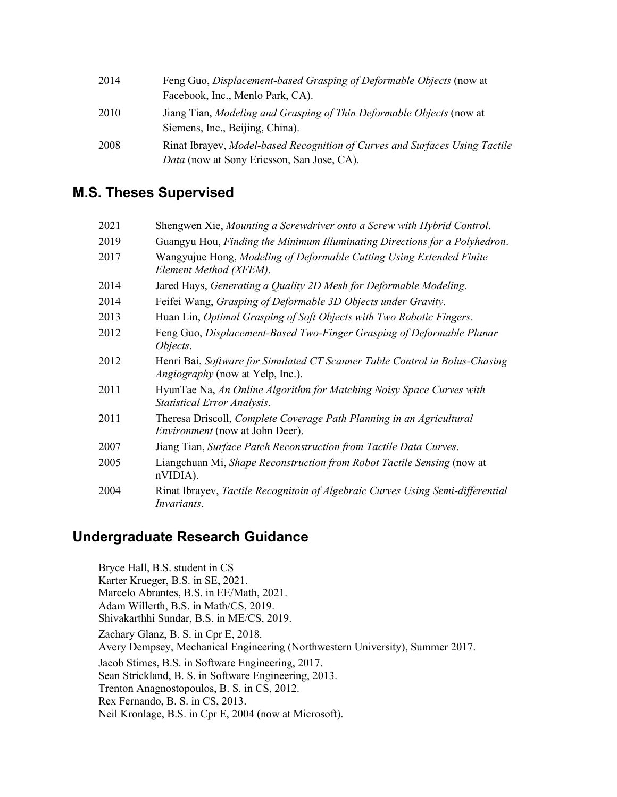| 2014 | Feng Guo, Displacement-based Grasping of Deformable Objects (now at<br>Facebook, Inc., Menlo Park, CA).                   |
|------|---------------------------------------------------------------------------------------------------------------------------|
| 2010 | Jiang Tian, Modeling and Grasping of Thin Deformable Objects (now at<br>Siemens, Inc., Beijing, China).                   |
| 2008 | Rinat Ibrayev, Model-based Recognition of Curves and Surfaces Using Tactile<br>Data (now at Sony Ericsson, San Jose, CA). |

# **M.S. Theses Supervised**

| 2021 | Shengwen Xie, Mounting a Screwdriver onto a Screw with Hybrid Control.                                                 |
|------|------------------------------------------------------------------------------------------------------------------------|
| 2019 | Guangyu Hou, Finding the Minimum Illuminating Directions for a Polyhedron.                                             |
| 2017 | Wangyujue Hong, Modeling of Deformable Cutting Using Extended Finite<br>Element Method (XFEM).                         |
| 2014 | Jared Hays, Generating a Quality 2D Mesh for Deformable Modeling.                                                      |
| 2014 | Feifei Wang, Grasping of Deformable 3D Objects under Gravity.                                                          |
| 2013 | Huan Lin, Optimal Grasping of Soft Objects with Two Robotic Fingers.                                                   |
| 2012 | Feng Guo, Displacement-Based Two-Finger Grasping of Deformable Planar<br>Objects.                                      |
| 2012 | Henri Bai, Software for Simulated CT Scanner Table Control in Bolus-Chasing<br><i>Angiography</i> (now at Yelp, Inc.). |
| 2011 | HyunTae Na, An Online Algorithm for Matching Noisy Space Curves with<br>Statistical Error Analysis.                    |
| 2011 | Theresa Driscoll, Complete Coverage Path Planning in an Agricultural<br><i>Environment</i> (now at John Deer).         |
| 2007 | Jiang Tian, Surface Patch Reconstruction from Tactile Data Curves.                                                     |
| 2005 | Liangchuan Mi, Shape Reconstruction from Robot Tactile Sensing (now at<br>$nVIDIA$ ).                                  |
| 2004 | Rinat Ibrayev, Tactile Recognitoin of Algebraic Curves Using Semi-differential<br><i>Invariants.</i>                   |

## **Undergraduate Research Guidance**

Bryce Hall, B.S. student in CS Karter Krueger, B.S. in SE, 2021. Marcelo Abrantes, B.S. in EE/Math, 2021. Adam Willerth, B.S. in Math/CS, 2019. Shivakarthhi Sundar, B.S. in ME/CS, 2019. Zachary Glanz, B. S. in Cpr E, 2018. Avery Dempsey, Mechanical Engineering (Northwestern University), Summer 2017. Jacob Stimes, B.S. in Software Engineering, 2017. Sean Strickland, B. S. in Software Engineering, 2013. Trenton Anagnostopoulos, B. S. in CS, 2012. Rex Fernando, B. S. in CS, 2013. Neil Kronlage, B.S. in Cpr E, 2004 (now at Microsoft).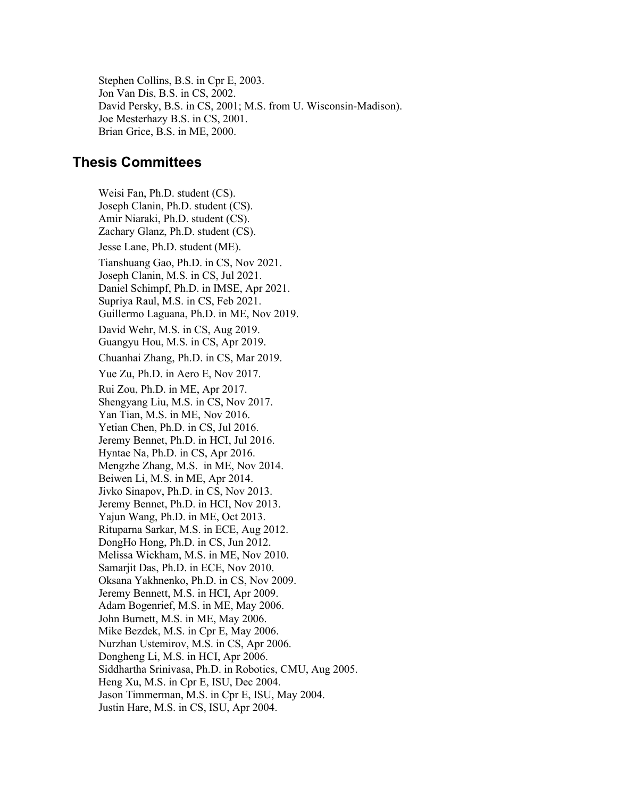Stephen Collins, B.S. in Cpr E, 2003. Jon Van Dis, B.S. in CS, 2002. David Persky, B.S. in CS, 2001; M.S. from U. Wisconsin-Madison). Joe Mesterhazy B.S. in CS, 2001. Brian Grice, B.S. in ME, 2000.

#### **Thesis Committees**

Weisi Fan, Ph.D. student (CS). Joseph Clanin, Ph.D. student (CS). Amir Niaraki, Ph.D. student (CS). Zachary Glanz, Ph.D. student (CS). Jesse Lane, Ph.D. student (ME). Tianshuang Gao, Ph.D. in CS, Nov 2021. Joseph Clanin, M.S. in CS, Jul 2021. Daniel Schimpf, Ph.D. in IMSE, Apr 2021. Supriya Raul, M.S. in CS, Feb 2021. Guillermo Laguana, Ph.D. in ME, Nov 2019. David Wehr, M.S. in CS, Aug 2019. Guangyu Hou, M.S. in CS, Apr 2019. Chuanhai Zhang, Ph.D. in CS, Mar 2019. Yue Zu, Ph.D. in Aero E, Nov 2017. Rui Zou, Ph.D. in ME, Apr 2017. Shengyang Liu, M.S. in CS, Nov 2017. Yan Tian, M.S. in ME, Nov 2016. Yetian Chen, Ph.D. in CS, Jul 2016. Jeremy Bennet, Ph.D. in HCI, Jul 2016. Hyntae Na, Ph.D. in CS, Apr 2016. Mengzhe Zhang, M.S. in ME, Nov 2014. Beiwen Li, M.S. in ME, Apr 2014. Jivko Sinapov, Ph.D. in CS, Nov 2013. Jeremy Bennet, Ph.D. in HCI, Nov 2013. Yajun Wang, Ph.D. in ME, Oct 2013. Rituparna Sarkar, M.S. in ECE, Aug 2012. DongHo Hong, Ph.D. in CS, Jun 2012. Melissa Wickham, M.S. in ME, Nov 2010. Samarjit Das, Ph.D. in ECE, Nov 2010. Oksana Yakhnenko, Ph.D. in CS, Nov 2009. Jeremy Bennett, M.S. in HCI, Apr 2009. Adam Bogenrief, M.S. in ME, May 2006. John Burnett, M.S. in ME, May 2006. Mike Bezdek, M.S. in Cpr E, May 2006. Nurzhan Ustemirov, M.S. in CS, Apr 2006. [Dongheng Li,](http://hcvl.hci.iastate.edu/cgi-bin/wiki/index.cgi?Dongheng) M.S. in HCI, Apr 2006. [Siddhartha Srinivasa,](http://www.cs.cmu.edu/%7Esiddh/) Ph.D. in Robotics, CMU, Aug 2005. Heng Xu, M.S. in Cpr E, ISU, Dec 2004. Jason Timmerman, M.S. in Cpr E, ISU, May 2004. Justin Hare, M.S. in CS, ISU, Apr 2004.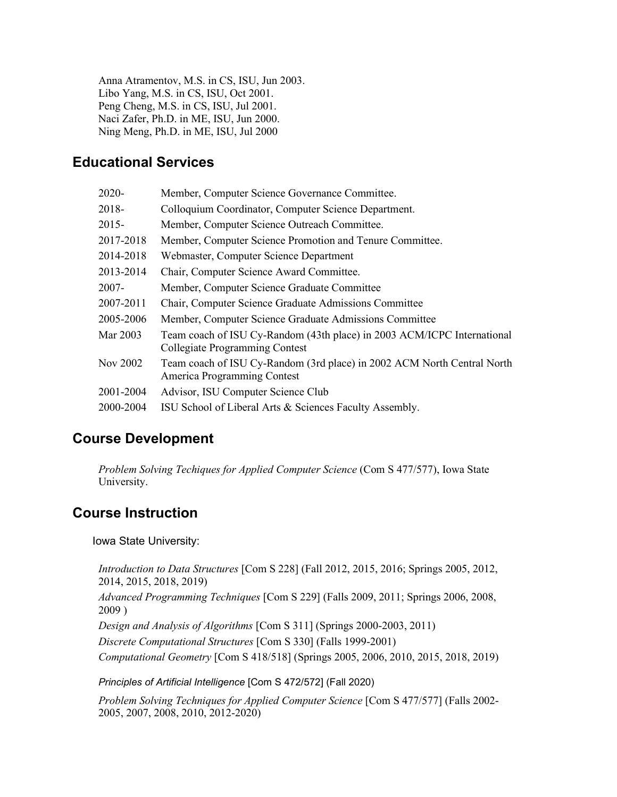[Anna Atramentov,](http://www.cs.iastate.edu/%7Eyershova/) M.S. in CS, ISU, Jun 2003. Libo Yang, M.S. in CS, ISU, Oct 2001. [Peng Cheng,](http://www.grasp.upenn.edu/%7Echpeng/) M.S. in CS, ISU, Jul 2001. Naci Zafer, Ph.D. in ME, ISU, Jun 2000. Ning Meng, Ph.D. in ME, ISU, Jul 2000

# **Educational Services**

| 2020-     | Member, Computer Science Governance Committee.                                                            |
|-----------|-----------------------------------------------------------------------------------------------------------|
| 2018-     | Colloquium Coordinator, Computer Science Department.                                                      |
| $2015 -$  | Member, Computer Science Outreach Committee.                                                              |
| 2017-2018 | Member, Computer Science Promotion and Tenure Committee.                                                  |
| 2014-2018 | Webmaster, Computer Science Department                                                                    |
| 2013-2014 | Chair, Computer Science Award Committee.                                                                  |
| $2007 -$  | Member, Computer Science Graduate Committee                                                               |
| 2007-2011 | Chair, Computer Science Graduate Admissions Committee                                                     |
| 2005-2006 | Member, Computer Science Graduate Admissions Committee                                                    |
| Mar 2003  | Team coach of ISU Cy-Random (43th place) in 2003 ACM/ICPC International<br>Collegiate Programming Contest |
| Nov 2002  | Team coach of ISU Cy-Random (3rd place) in 2002 ACM North Central North<br>America Programming Contest    |
| 2001-2004 | Advisor, ISU Computer Science Club                                                                        |
| 2000-2004 | ISU School of Liberal Arts & Sciences Faculty Assembly.                                                   |

## **Course Development**

*[Problem Solving Techiques for Applied Computer Science](http://www.cs.iastate.edu/%7Ecs577/)* (Com S 477/577), Iowa State University.

# **Course Instruction**

Iowa State University:

*[Introduction to Data Structures](http://www.cs.iastate.edu/%7Ecs228/)* [Com S 228] (Fall 2012, 2015, 2016; Springs 2005, 2012, 2014, 2015, 2018, 2019)

*[Advanced Programming Techniques](http://www.cs.iastate.edu/%7Ecs229/)* [Com S 229] (Falls 2009, 2011; Springs 2006, 2008, 2009 )

*[Design and Analysis of Algorithms](http://www.cs.iastate.edu/%7Ecs311/)* [Com S 311] (Springs 2000-2003, 2011)

*[Discrete Computational](http://www.cs.iastate.edu/%7Ecs330/) Structures* [Com S 330] (Falls 1999-2001)

*[Computational Geometry](http://www.cs.iastate.edu/%7Ecs518/)* [Com S 418/518] (Springs 2005, 2006, 2010, 2015, 2018, 2019)

*Principles of Artificial Intelligence* [Com S 472/572] (Fall 2020)

*[Problem Solving Techniques for Applied Computer Science](http://www.cs.iastate.edu/%7Ecs577/)* [Com S 477/577] (Falls 2002- 2005, 2007, 2008, 2010, 2012-2020)